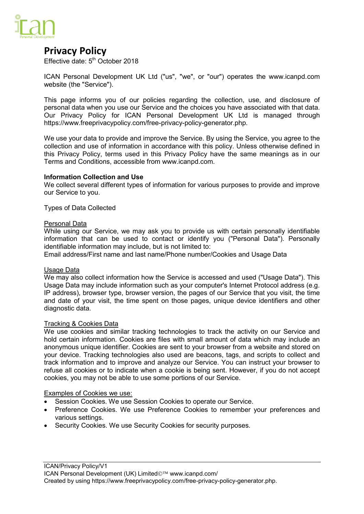

# **Privacy Policy**

Effective date:  $5<sup>th</sup>$  October 2018

ICAN Personal Development UK Ltd ("us", "we", or "our") operates the www.icanpd.com website (the "Service").

This page informs you of our policies regarding the collection, use, and disclosure of personal data when you use our Service and the choices you have associated with that data. Our Privacy Policy for ICAN Personal Development UK Ltd is managed through https://www.freeprivacypolicy.com/free-privacy-policy-generator.php.

We use your data to provide and improve the Service. By using the Service, you agree to the collection and use of information in accordance with this policy. Unless otherwise defined in this Privacy Policy, terms used in this Privacy Policy have the same meanings as in our Terms and Conditions, accessible from www.icanpd.com.

# **Information Collection and Use**

We collect several different types of information for various purposes to provide and improve our Service to you.

Types of Data Collected

# Personal Data

While using our Service, we may ask you to provide us with certain personally identifiable information that can be used to contact or identify you ("Personal Data"). Personally identifiable information may include, but is not limited to:

Email address/First name and last name/Phone number/Cookies and Usage Data

### Usage Data

We may also collect information how the Service is accessed and used ("Usage Data"). This Usage Data may include information such as your computer's Internet Protocol address (e.g. IP address), browser type, browser version, the pages of our Service that you visit, the time and date of your visit, the time spent on those pages, unique device identifiers and other diagnostic data.

#### Tracking & Cookies Data

We use cookies and similar tracking technologies to track the activity on our Service and hold certain information. Cookies are files with small amount of data which may include an anonymous unique identifier. Cookies are sent to your browser from a website and stored on your device. Tracking technologies also used are beacons, tags, and scripts to collect and track information and to improve and analyze our Service. You can instruct your browser to refuse all cookies or to indicate when a cookie is being sent. However, if you do not accept cookies, you may not be able to use some portions of our Service.

# Examples of Cookies we use:

- Session Cookies. We use Session Cookies to operate our Service.
- Preference Cookies. We use Preference Cookies to remember your preferences and various settings.
- Security Cookies. We use Security Cookies for security purposes.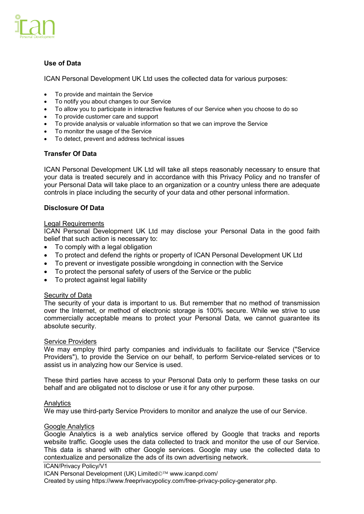

# **Use of Data**

ICAN Personal Development UK Ltd uses the collected data for various purposes:

- To provide and maintain the Service
- To notify you about changes to our Service
- To allow you to participate in interactive features of our Service when you choose to do so
- To provide customer care and support
- To provide analysis or valuable information so that we can improve the Service
- To monitor the usage of the Service
- To detect, prevent and address technical issues

# **Transfer Of Data**

ICAN Personal Development UK Ltd will take all steps reasonably necessary to ensure that your data is treated securely and in accordance with this Privacy Policy and no transfer of your Personal Data will take place to an organization or a country unless there are adequate controls in place including the security of your data and other personal information.

# **Disclosure Of Data**

# Legal Requirements

ICAN Personal Development UK Ltd may disclose your Personal Data in the good faith belief that such action is necessary to:

- To comply with a legal obligation
- To protect and defend the rights or property of ICAN Personal Development UK Ltd
- To prevent or investigate possible wrongdoing in connection with the Service
- To protect the personal safety of users of the Service or the public
- To protect against legal liability

#### Security of Data

The security of your data is important to us. But remember that no method of transmission over the Internet, or method of electronic storage is 100% secure. While we strive to use commercially acceptable means to protect your Personal Data, we cannot guarantee its absolute security.

#### Service Providers

We may employ third party companies and individuals to facilitate our Service ("Service Providers"), to provide the Service on our behalf, to perform Service-related services or to assist us in analyzing how our Service is used.

These third parties have access to your Personal Data only to perform these tasks on our behalf and are obligated not to disclose or use it for any other purpose.

#### **Analytics**

We may use third-party Service Providers to monitor and analyze the use of our Service.

#### Google Analytics

Google Analytics is a web analytics service offered by Google that tracks and reports website traffic. Google uses the data collected to track and monitor the use of our Service. This data is shared with other Google services. Google may use the collected data to contextualize and personalize the ads of its own advertising network.

#### ICAN/Privacy Policy/V1

ICAN Personal Development (UK) Limited ©™ www.icanpd.com/

Created by using https://www.freeprivacypolicy.com/free-privacy-policy-generator.php.